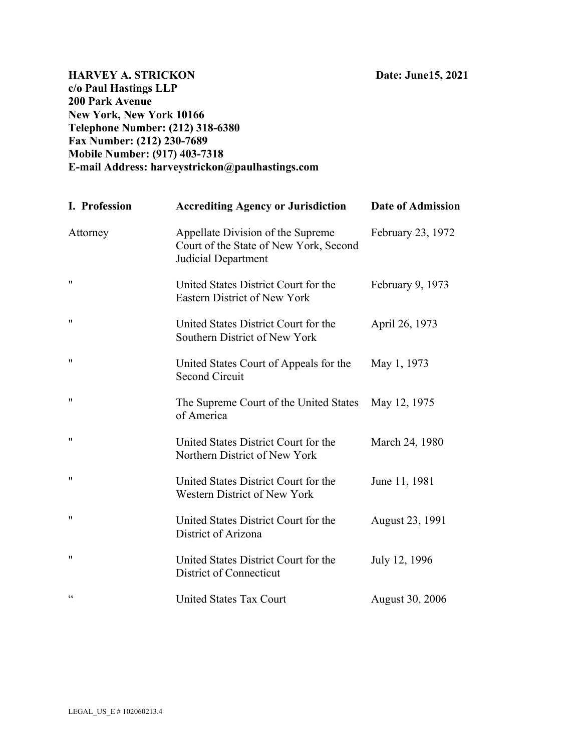## **HARVEY A. STRICKON Date: June15, 2021 c/o Paul Hastings LLP 200 Park Avenue New York, New York 10166 Telephone Number: (212) 318-6380 Fax Number: (212) 230-7689 Mobile Number: (917) 403-7318 E-mail Address: harveystrickon@paulhastings.com**

| I. Profession     | <b>Accrediting Agency or Jurisdiction</b>                                                          | <b>Date of Admission</b> |
|-------------------|----------------------------------------------------------------------------------------------------|--------------------------|
| Attorney          | Appellate Division of the Supreme<br>Court of the State of New York, Second<br>Judicial Department | February 23, 1972        |
| $^{\prime\prime}$ | United States District Court for the<br>Eastern District of New York                               | February 9, 1973         |
| $^{\prime\prime}$ | United States District Court for the<br>Southern District of New York                              | April 26, 1973           |
| $^{\prime\prime}$ | United States Court of Appeals for the<br><b>Second Circuit</b>                                    | May 1, 1973              |
| "                 | The Supreme Court of the United States<br>of America                                               | May 12, 1975             |
| "                 | United States District Court for the<br>Northern District of New York                              | March 24, 1980           |
| $^{\prime\prime}$ | United States District Court for the<br>Western District of New York                               | June 11, 1981            |
| 11                | United States District Court for the<br>District of Arizona                                        | August 23, 1991          |
| $^{\prime\prime}$ | United States District Court for the<br><b>District of Connecticut</b>                             | July 12, 1996            |
| $\mbox{\bf G}$    | <b>United States Tax Court</b>                                                                     | August 30, 2006          |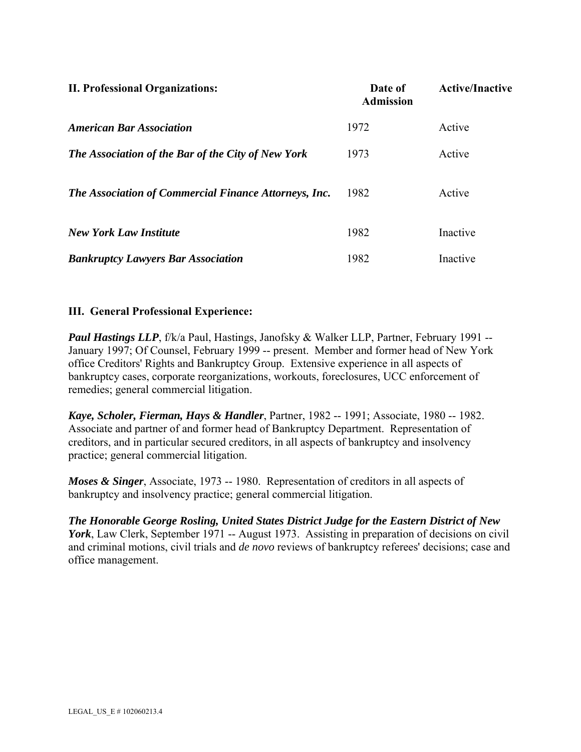| <b>II. Professional Organizations:</b>                | Date of<br><b>Admission</b> | <b>Active/Inactive</b> |
|-------------------------------------------------------|-----------------------------|------------------------|
| <b>American Bar Association</b>                       | 1972                        | Active                 |
| The Association of the Bar of the City of New York    | 1973                        | Active                 |
| The Association of Commercial Finance Attorneys, Inc. | 1982                        | Active                 |
| <b>New York Law Institute</b>                         | 1982                        | Inactive               |
| <b>Bankruptcy Lawyers Bar Association</b>             | 1982                        | Inactive               |

#### **III. General Professional Experience:**

*Paul Hastings LLP*, f/k/a Paul, Hastings, Janofsky & Walker LLP, Partner, February 1991 -- January 1997; Of Counsel, February 1999 -- present. Member and former head of New York office Creditors' Rights and Bankruptcy Group. Extensive experience in all aspects of bankruptcy cases, corporate reorganizations, workouts, foreclosures, UCC enforcement of remedies; general commercial litigation.

*Kaye, Scholer, Fierman, Hays & Handler*, Partner, 1982 -- 1991; Associate, 1980 -- 1982. Associate and partner of and former head of Bankruptcy Department. Representation of creditors, and in particular secured creditors, in all aspects of bankruptcy and insolvency practice; general commercial litigation.

*Moses & Singer*, Associate, 1973 -- 1980. Representation of creditors in all aspects of bankruptcy and insolvency practice; general commercial litigation.

*The Honorable George Rosling, United States District Judge for the Eastern District of New York*, Law Clerk, September 1971 -- August 1973. Assisting in preparation of decisions on civil and criminal motions, civil trials and *de novo* reviews of bankruptcy referees' decisions; case and office management.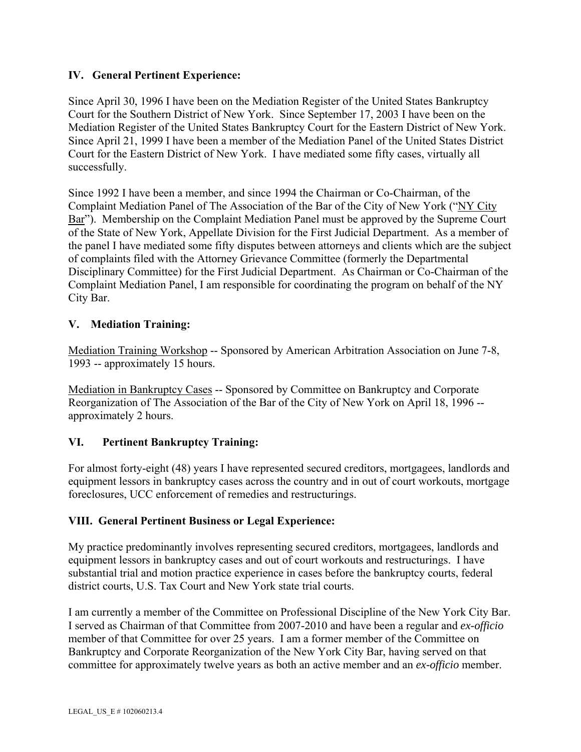## **IV. General Pertinent Experience:**

Since April 30, 1996 I have been on the Mediation Register of the United States Bankruptcy Court for the Southern District of New York. Since September 17, 2003 I have been on the Mediation Register of the United States Bankruptcy Court for the Eastern District of New York. Since April 21, 1999 I have been a member of the Mediation Panel of the United States District Court for the Eastern District of New York. I have mediated some fifty cases, virtually all successfully.

Since 1992 I have been a member, and since 1994 the Chairman or Co-Chairman, of the Complaint Mediation Panel of The Association of the Bar of the City of New York ("NY City Bar"). Membership on the Complaint Mediation Panel must be approved by the Supreme Court of the State of New York, Appellate Division for the First Judicial Department. As a member of the panel I have mediated some fifty disputes between attorneys and clients which are the subject of complaints filed with the Attorney Grievance Committee (formerly the Departmental Disciplinary Committee) for the First Judicial Department. As Chairman or Co-Chairman of the Complaint Mediation Panel, I am responsible for coordinating the program on behalf of the NY City Bar.

## **V. Mediation Training:**

Mediation Training Workshop -- Sponsored by American Arbitration Association on June 7-8, 1993 -- approximately 15 hours.

Mediation in Bankruptcy Cases -- Sponsored by Committee on Bankruptcy and Corporate Reorganization of The Association of the Bar of the City of New York on April 18, 1996 - approximately 2 hours.

# **VI. Pertinent Bankruptcy Training:**

For almost forty-eight (48) years I have represented secured creditors, mortgagees, landlords and equipment lessors in bankruptcy cases across the country and in out of court workouts, mortgage foreclosures, UCC enforcement of remedies and restructurings.

# **VIII. General Pertinent Business or Legal Experience:**

My practice predominantly involves representing secured creditors, mortgagees, landlords and equipment lessors in bankruptcy cases and out of court workouts and restructurings. I have substantial trial and motion practice experience in cases before the bankruptcy courts, federal district courts, U.S. Tax Court and New York state trial courts.

I am currently a member of the Committee on Professional Discipline of the New York City Bar. I served as Chairman of that Committee from 2007-2010 and have been a regular and *ex-officio* member of that Committee for over 25 years. I am a former member of the Committee on Bankruptcy and Corporate Reorganization of the New York City Bar, having served on that committee for approximately twelve years as both an active member and an *ex-officio* member.